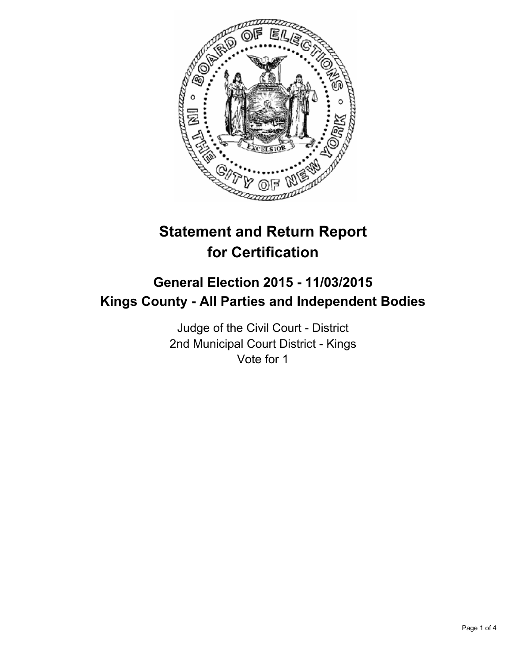

# **Statement and Return Report for Certification**

# **General Election 2015 - 11/03/2015 Kings County - All Parties and Independent Bodies**

Judge of the Civil Court - District 2nd Municipal Court District - Kings Vote for 1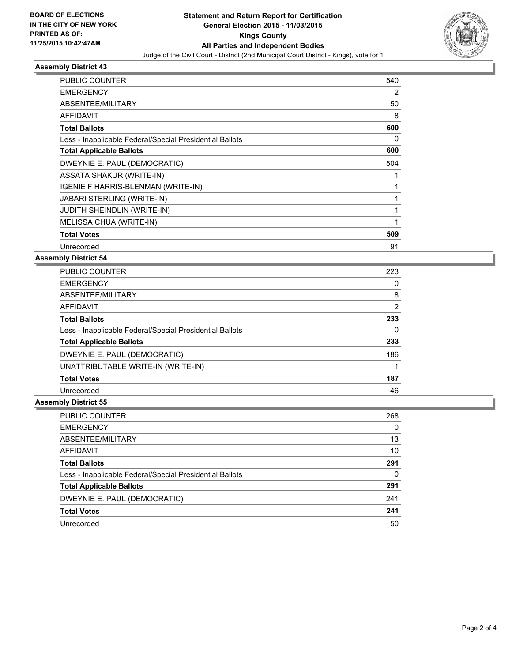

#### **Assembly District 43**

| PUBLIC COUNTER                                           | 540 |
|----------------------------------------------------------|-----|
| <b>EMERGENCY</b>                                         | 2   |
| ABSENTEE/MILITARY                                        | 50  |
| AFFIDAVIT                                                | 8   |
| <b>Total Ballots</b>                                     | 600 |
| Less - Inapplicable Federal/Special Presidential Ballots | 0   |
| <b>Total Applicable Ballots</b>                          | 600 |
| DWEYNIE E. PAUL (DEMOCRATIC)                             | 504 |
| <b>ASSATA SHAKUR (WRITE-IN)</b>                          |     |
| <b>IGENIE F HARRIS-BLENMAN (WRITE-IN)</b>                |     |
| JABARI STERLING (WRITE-IN)                               |     |
| <b>JUDITH SHEINDLIN (WRITE-IN)</b>                       |     |
| MELISSA CHUA (WRITE-IN)                                  |     |
| <b>Total Votes</b>                                       | 509 |
| Unrecorded                                               | 91  |

#### **Assembly District 54**

| <b>PUBLIC COUNTER</b>                                    | 223 |
|----------------------------------------------------------|-----|
| <b>EMERGENCY</b>                                         | 0   |
| ABSENTEE/MILITARY                                        | 8   |
| <b>AFFIDAVIT</b>                                         | 2   |
| <b>Total Ballots</b>                                     | 233 |
| Less - Inapplicable Federal/Special Presidential Ballots | 0   |
| <b>Total Applicable Ballots</b>                          | 233 |
| DWEYNIE E. PAUL (DEMOCRATIC)                             | 186 |
| UNATTRIBUTABLE WRITE-IN (WRITE-IN)                       |     |
| <b>Total Votes</b>                                       | 187 |
| Unrecorded                                               | 46  |

### **Assembly District 55**

| PUBLIC COUNTER                                           | 268 |
|----------------------------------------------------------|-----|
| <b>EMERGENCY</b>                                         | 0   |
| ABSENTEE/MILITARY                                        | 13  |
| AFFIDAVIT                                                | 10  |
| <b>Total Ballots</b>                                     | 291 |
| Less - Inapplicable Federal/Special Presidential Ballots | 0   |
| <b>Total Applicable Ballots</b>                          | 291 |
| DWEYNIE E. PAUL (DEMOCRATIC)                             | 241 |
| <b>Total Votes</b>                                       | 241 |
| Unrecorded                                               | 50  |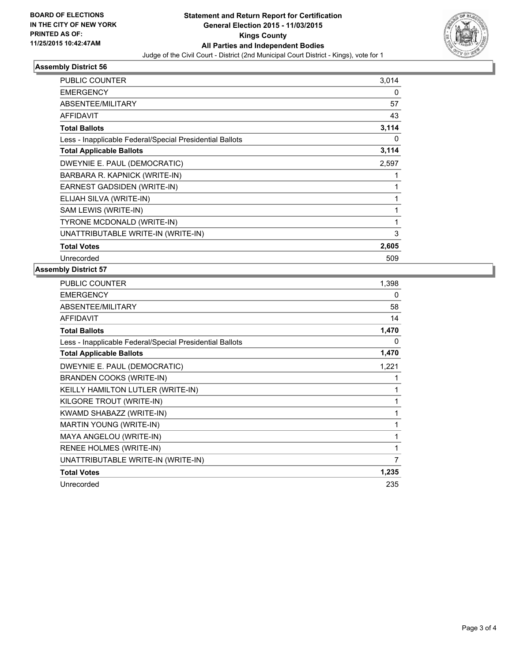

## **Assembly District 56**

| <b>PUBLIC COUNTER</b>                                    | 3,014 |
|----------------------------------------------------------|-------|
| <b>EMERGENCY</b>                                         | 0     |
| ABSENTEE/MILITARY                                        | 57    |
| <b>AFFIDAVIT</b>                                         | 43    |
| <b>Total Ballots</b>                                     | 3,114 |
| Less - Inapplicable Federal/Special Presidential Ballots | 0     |
| <b>Total Applicable Ballots</b>                          | 3,114 |
| DWEYNIE E. PAUL (DEMOCRATIC)                             | 2,597 |
| BARBARA R. KAPNICK (WRITE-IN)                            | 1     |
| EARNEST GADSIDEN (WRITE-IN)                              | 1     |
| ELIJAH SILVA (WRITE-IN)                                  | 1     |
| SAM LEWIS (WRITE-IN)                                     | 1     |
| <b>TYRONE MCDONALD (WRITE-IN)</b>                        | 1     |
| UNATTRIBUTABLE WRITE-IN (WRITE-IN)                       | 3     |
| <b>Total Votes</b>                                       | 2,605 |
| Unrecorded                                               | 509   |

#### **Assembly District 57**

| PUBLIC COUNTER                                           | 1,398 |
|----------------------------------------------------------|-------|
| <b>EMERGENCY</b>                                         | 0     |
| ABSENTEE/MILITARY                                        | 58    |
| <b>AFFIDAVIT</b>                                         | 14    |
| <b>Total Ballots</b>                                     | 1,470 |
| Less - Inapplicable Federal/Special Presidential Ballots | 0     |
| <b>Total Applicable Ballots</b>                          | 1,470 |
| DWEYNIE E. PAUL (DEMOCRATIC)                             | 1,221 |
| BRANDEN COOKS (WRITE-IN)                                 | 1     |
| KEILLY HAMILTON LUTLER (WRITE-IN)                        | 1     |
| KILGORE TROUT (WRITE-IN)                                 | 1     |
| KWAMD SHABAZZ (WRITE-IN)                                 | 1     |
| <b>MARTIN YOUNG (WRITE-IN)</b>                           | 1     |
| MAYA ANGELOU (WRITE-IN)                                  | 1     |
| RENEE HOLMES (WRITE-IN)                                  | 1     |
| UNATTRIBUTABLE WRITE-IN (WRITE-IN)                       | 7     |
| <b>Total Votes</b>                                       | 1,235 |
| Unrecorded                                               | 235   |